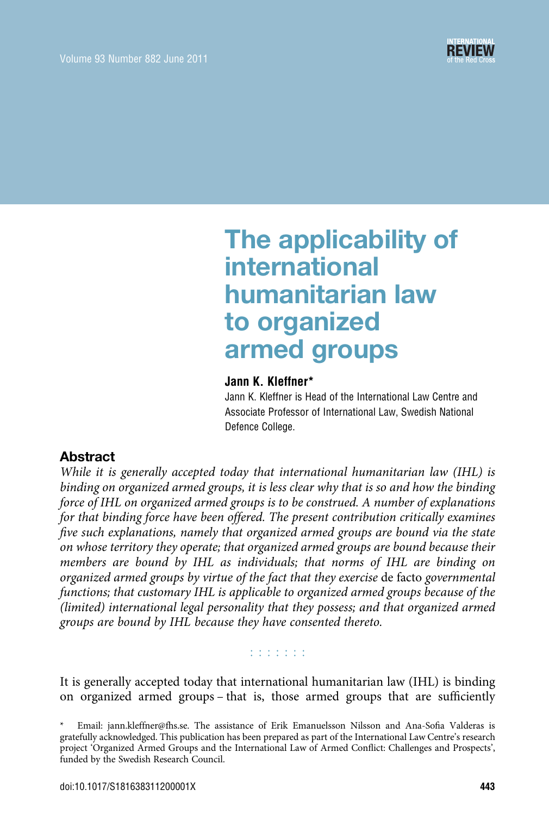

# The applicability of international humanitarian law to organized armed groups

#### Jann K. Kleffner\*

Jann K. Kleffner is Head of the International Law Centre and Associate Professor of International Law, Swedish National Defence College.

### Abstract

While it is generally accepted today that international humanitarian law (IHL) is binding on organized armed groups, it is less clear why that is so and how the binding force of IHL on organized armed groups is to be construed. A number of explanations for that binding force have been offered. The present contribution critically examines five such explanations, namely that organized armed groups are bound via the state on whose territory they operate; that organized armed groups are bound because their members are bound by IHL as individuals; that norms of IHL are binding on organized armed groups by virtue of the fact that they exercise de facto governmental functions; that customary IHL is applicable to organized armed groups because of the (limited) international legal personality that they possess; and that organized armed groups are bound by IHL because they have consented thereto.

#### **Editoria**

It is generally accepted today that international humanitarian law (IHL) is binding on organized armed groups – that is, those armed groups that are sufficiently

Email: jann.kleffner@fhs.se. The assistance of Erik Emanuelsson Nilsson and Ana-Sofia Valderas is gratefully acknowledged. This publication has been prepared as part of the International Law Centre's research project 'Organized Armed Groups and the International Law of Armed Conflict: Challenges and Prospects', funded by the Swedish Research Council.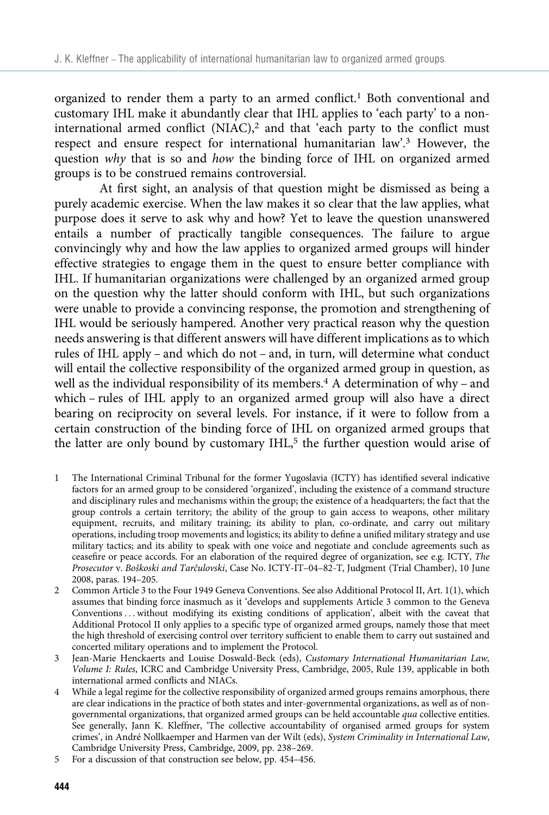organized to render them a party to an armed conflict.<sup>1</sup> Both conventional and customary IHL make it abundantly clear that IHL applies to 'each party' to a noninternational armed conflict (NIAC),<sup>2</sup> and that 'each party to the conflict must respect and ensure respect for international humanitarian law'. <sup>3</sup> However, the question why that is so and how the binding force of IHL on organized armed groups is to be construed remains controversial.

At first sight, an analysis of that question might be dismissed as being a purely academic exercise. When the law makes it so clear that the law applies, what purpose does it serve to ask why and how? Yet to leave the question unanswered entails a number of practically tangible consequences. The failure to argue convincingly why and how the law applies to organized armed groups will hinder effective strategies to engage them in the quest to ensure better compliance with IHL. If humanitarian organizations were challenged by an organized armed group on the question why the latter should conform with IHL, but such organizations were unable to provide a convincing response, the promotion and strengthening of IHL would be seriously hampered. Another very practical reason why the question needs answering is that different answers will have different implications as to which rules of IHL apply – and which do not – and, in turn, will determine what conduct will entail the collective responsibility of the organized armed group in question, as well as the individual responsibility of its members.<sup>4</sup> A determination of why – and which – rules of IHL apply to an organized armed group will also have a direct bearing on reciprocity on several levels. For instance, if it were to follow from a certain construction of the binding force of IHL on organized armed groups that the latter are only bound by customary  $IHL$ ,<sup>5</sup> the further question would arise of

- 1 The International Criminal Tribunal for the former Yugoslavia (ICTY) has identified several indicative factors for an armed group to be considered 'organized', including the existence of a command structure and disciplinary rules and mechanisms within the group; the existence of a headquarters; the fact that the group controls a certain territory; the ability of the group to gain access to weapons, other military equipment, recruits, and military training; its ability to plan, co-ordinate, and carry out military operations, including troop movements and logistics; its ability to define a unified military strategy and use military tactics; and its ability to speak with one voice and negotiate and conclude agreements such as ceasefire or peace accords. For an elaboration of the required degree of organization, see e.g. ICTY, The Prosecutor v. Boškoski and Tarčulovski, Case No. ICTY-IT–04–82-T, Judgment (Trial Chamber), 10 June 2008, paras. 194–205.
- 2 Common Article 3 to the Four 1949 Geneva Conventions. See also Additional Protocol II, Art. 1(1), which assumes that binding force inasmuch as it 'develops and supplements Article 3 common to the Geneva Conventions ... without modifying its existing conditions of application', albeit with the caveat that Additional Protocol II only applies to a specific type of organized armed groups, namely those that meet the high threshold of exercising control over territory sufficient to enable them to carry out sustained and concerted military operations and to implement the Protocol.
- 3 Jean-Marie Henckaerts and Louise Doswald-Beck (eds), Customary International Humanitarian Law, Volume I: Rules, ICRC and Cambridge University Press, Cambridge, 2005, Rule 139, applicable in both international armed conflicts and NIACs.
- 4 While a legal regime for the collective responsibility of organized armed groups remains amorphous, there are clear indications in the practice of both states and inter-governmental organizations, as well as of nongovernmental organizations, that organized armed groups can be held accountable qua collective entities. See generally, Jann K. Kleffner, 'The collective accountability of organised armed groups for system crimes', in André Nollkaemper and Harmen van der Wilt (eds), System Criminality in International Law, Cambridge University Press, Cambridge, 2009, pp. 238–269.
- 5 For a discussion of that construction see below, pp. 454–456.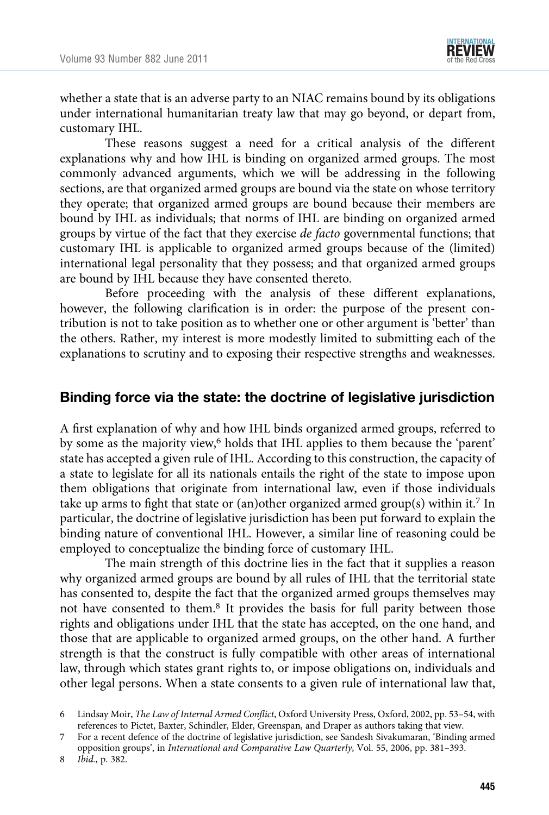whether a state that is an adverse party to an NIAC remains bound by its obligations under international humanitarian treaty law that may go beyond, or depart from, customary IHL.

These reasons suggest a need for a critical analysis of the different explanations why and how IHL is binding on organized armed groups. The most commonly advanced arguments, which we will be addressing in the following sections, are that organized armed groups are bound via the state on whose territory they operate; that organized armed groups are bound because their members are bound by IHL as individuals; that norms of IHL are binding on organized armed groups by virtue of the fact that they exercise de facto governmental functions; that customary IHL is applicable to organized armed groups because of the (limited) international legal personality that they possess; and that organized armed groups are bound by IHL because they have consented thereto.

Before proceeding with the analysis of these different explanations, however, the following clarification is in order: the purpose of the present contribution is not to take position as to whether one or other argument is 'better' than the others. Rather, my interest is more modestly limited to submitting each of the explanations to scrutiny and to exposing their respective strengths and weaknesses.

### Binding force via the state: the doctrine of legislative jurisdiction

A first explanation of why and how IHL binds organized armed groups, referred to by some as the majority view,<sup>6</sup> holds that IHL applies to them because the 'parent' state has accepted a given rule of IHL. According to this construction, the capacity of a state to legislate for all its nationals entails the right of the state to impose upon them obligations that originate from international law, even if those individuals take up arms to fight that state or (an)other organized armed group(s) within it.7 In particular, the doctrine of legislative jurisdiction has been put forward to explain the binding nature of conventional IHL. However, a similar line of reasoning could be employed to conceptualize the binding force of customary IHL.

The main strength of this doctrine lies in the fact that it supplies a reason why organized armed groups are bound by all rules of IHL that the territorial state has consented to, despite the fact that the organized armed groups themselves may not have consented to them.8 It provides the basis for full parity between those rights and obligations under IHL that the state has accepted, on the one hand, and those that are applicable to organized armed groups, on the other hand. A further strength is that the construct is fully compatible with other areas of international law, through which states grant rights to, or impose obligations on, individuals and other legal persons. When a state consents to a given rule of international law that,

8 Ibid., p. 382.

<sup>6</sup> Lindsay Moir, The Law of Internal Armed Conflict, Oxford University Press, Oxford, 2002, pp. 53–54, with references to Pictet, Baxter, Schindler, Elder, Greenspan, and Draper as authors taking that view.

<sup>7</sup> For a recent defence of the doctrine of legislative jurisdiction, see Sandesh Sivakumaran, 'Binding armed opposition groups', in International and Comparative Law Quarterly, Vol. 55, 2006, pp. 381–393.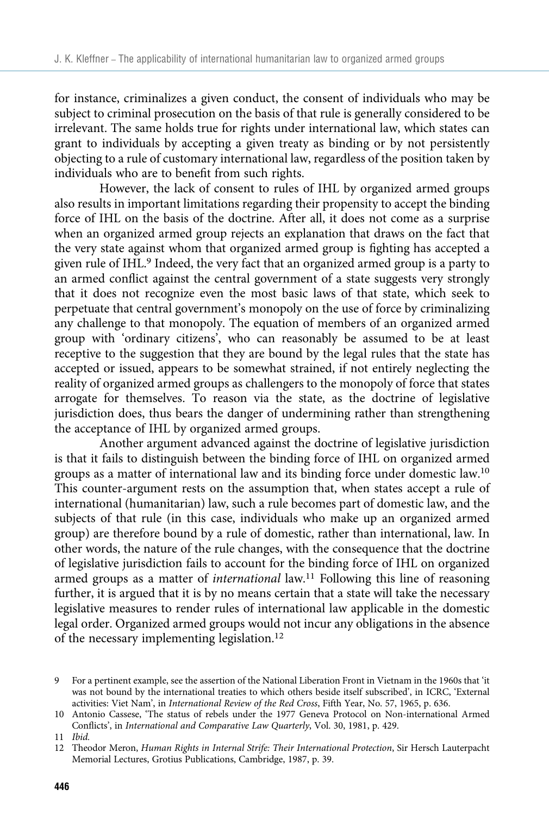for instance, criminalizes a given conduct, the consent of individuals who may be subject to criminal prosecution on the basis of that rule is generally considered to be irrelevant. The same holds true for rights under international law, which states can grant to individuals by accepting a given treaty as binding or by not persistently objecting to a rule of customary international law, regardless of the position taken by individuals who are to benefit from such rights.

However, the lack of consent to rules of IHL by organized armed groups also results in important limitations regarding their propensity to accept the binding force of IHL on the basis of the doctrine. After all, it does not come as a surprise when an organized armed group rejects an explanation that draws on the fact that the very state against whom that organized armed group is fighting has accepted a given rule of IHL.9 Indeed, the very fact that an organized armed group is a party to an armed conflict against the central government of a state suggests very strongly that it does not recognize even the most basic laws of that state, which seek to perpetuate that central government's monopoly on the use of force by criminalizing any challenge to that monopoly. The equation of members of an organized armed group with 'ordinary citizens', who can reasonably be assumed to be at least receptive to the suggestion that they are bound by the legal rules that the state has accepted or issued, appears to be somewhat strained, if not entirely neglecting the reality of organized armed groups as challengers to the monopoly of force that states arrogate for themselves. To reason via the state, as the doctrine of legislative jurisdiction does, thus bears the danger of undermining rather than strengthening the acceptance of IHL by organized armed groups.

Another argument advanced against the doctrine of legislative jurisdiction is that it fails to distinguish between the binding force of IHL on organized armed groups as a matter of international law and its binding force under domestic law.10 This counter-argument rests on the assumption that, when states accept a rule of international (humanitarian) law, such a rule becomes part of domestic law, and the subjects of that rule (in this case, individuals who make up an organized armed group) are therefore bound by a rule of domestic, rather than international, law. In other words, the nature of the rule changes, with the consequence that the doctrine of legislative jurisdiction fails to account for the binding force of IHL on organized armed groups as a matter of *international* law.<sup>11</sup> Following this line of reasoning further, it is argued that it is by no means certain that a state will take the necessary legislative measures to render rules of international law applicable in the domestic legal order. Organized armed groups would not incur any obligations in the absence of the necessary implementing legislation.12

<sup>9</sup> For a pertinent example, see the assertion of the National Liberation Front in Vietnam in the 1960s that 'it was not bound by the international treaties to which others beside itself subscribed', in ICRC, 'External activities: Viet Nam', in International Review of the Red Cross, Fifth Year, No. 57, 1965, p. 636.

<sup>10</sup> Antonio Cassese, 'The status of rebels under the 1977 Geneva Protocol on Non-international Armed Conflicts', in International and Comparative Law Quarterly, Vol. 30, 1981, p. 429.

<sup>11</sup> Ibid.

<sup>12</sup> Theodor Meron, Human Rights in Internal Strife: Their International Protection, Sir Hersch Lauterpacht Memorial Lectures, Grotius Publications, Cambridge, 1987, p. 39.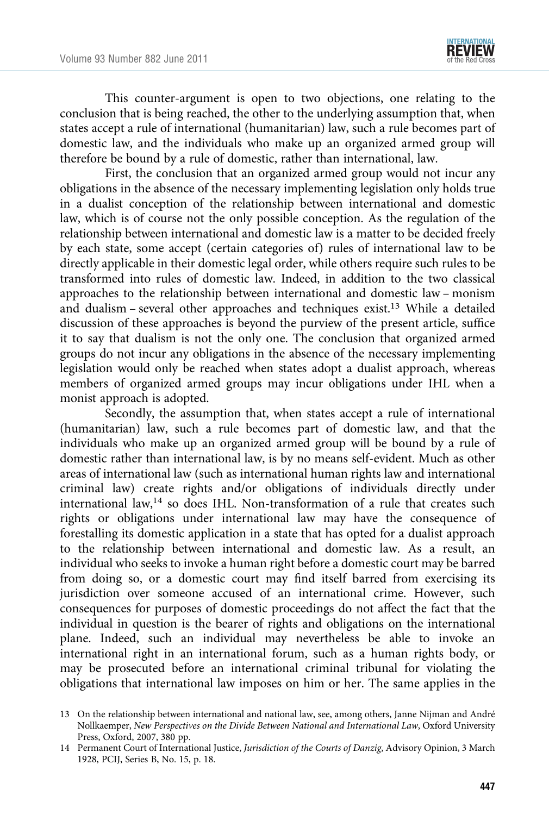This counter-argument is open to two objections, one relating to the conclusion that is being reached, the other to the underlying assumption that, when states accept a rule of international (humanitarian) law, such a rule becomes part of domestic law, and the individuals who make up an organized armed group will therefore be bound by a rule of domestic, rather than international, law.

First, the conclusion that an organized armed group would not incur any obligations in the absence of the necessary implementing legislation only holds true in a dualist conception of the relationship between international and domestic law, which is of course not the only possible conception. As the regulation of the relationship between international and domestic law is a matter to be decided freely by each state, some accept (certain categories of) rules of international law to be directly applicable in their domestic legal order, while others require such rules to be transformed into rules of domestic law. Indeed, in addition to the two classical approaches to the relationship between international and domestic law – monism and dualism – several other approaches and techniques exist.<sup>13</sup> While a detailed discussion of these approaches is beyond the purview of the present article, suffice it to say that dualism is not the only one. The conclusion that organized armed groups do not incur any obligations in the absence of the necessary implementing legislation would only be reached when states adopt a dualist approach, whereas members of organized armed groups may incur obligations under IHL when a monist approach is adopted.

Secondly, the assumption that, when states accept a rule of international (humanitarian) law, such a rule becomes part of domestic law, and that the individuals who make up an organized armed group will be bound by a rule of domestic rather than international law, is by no means self-evident. Much as other areas of international law (such as international human rights law and international criminal law) create rights and/or obligations of individuals directly under international law,14 so does IHL. Non-transformation of a rule that creates such rights or obligations under international law may have the consequence of forestalling its domestic application in a state that has opted for a dualist approach to the relationship between international and domestic law. As a result, an individual who seeks to invoke a human right before a domestic court may be barred from doing so, or a domestic court may find itself barred from exercising its jurisdiction over someone accused of an international crime. However, such consequences for purposes of domestic proceedings do not affect the fact that the individual in question is the bearer of rights and obligations on the international plane. Indeed, such an individual may nevertheless be able to invoke an international right in an international forum, such as a human rights body, or may be prosecuted before an international criminal tribunal for violating the obligations that international law imposes on him or her. The same applies in the

<sup>13</sup> On the relationship between international and national law, see, among others, Janne Nijman and André Nollkaemper, New Perspectives on the Divide Between National and International Law, Oxford University Press, Oxford, 2007, 380 pp.

<sup>14</sup> Permanent Court of International Justice, Jurisdiction of the Courts of Danzig, Advisory Opinion, 3 March 1928, PCIJ, Series B, No. 15, p. 18.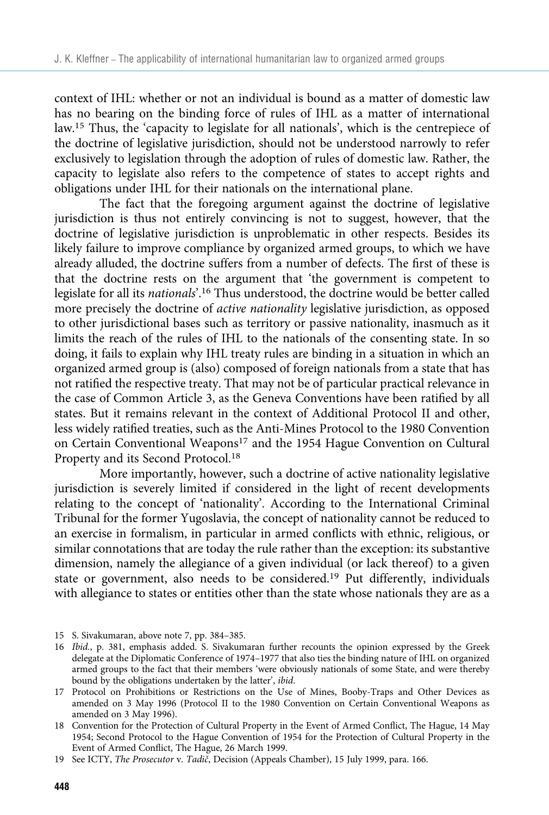context of IHL: whether or not an individual is bound as a matter of domestic law has no bearing on the binding force of rules of IHL as a matter of international law.15 Thus, the 'capacity to legislate for all nationals', which is the centrepiece of the doctrine of legislative jurisdiction, should not be understood narrowly to refer exclusively to legislation through the adoption of rules of domestic law. Rather, the capacity to legislate also refers to the competence of states to accept rights and obligations under IHL for their nationals on the international plane.

The fact that the foregoing argument against the doctrine of legislative jurisdiction is thus not entirely convincing is not to suggest, however, that the doctrine of legislative jurisdiction is unproblematic in other respects. Besides its likely failure to improve compliance by organized armed groups, to which we have already alluded, the doctrine suffers from a number of defects. The first of these is that the doctrine rests on the argument that 'the government is competent to legislate for all its nationals'.<sup>16</sup> Thus understood, the doctrine would be better called more precisely the doctrine of active nationality legislative jurisdiction, as opposed to other jurisdictional bases such as territory or passive nationality, inasmuch as it limits the reach of the rules of IHL to the nationals of the consenting state. In so doing, it fails to explain why IHL treaty rules are binding in a situation in which an organized armed group is (also) composed of foreign nationals from a state that has not ratified the respective treaty. That may not be of particular practical relevance in the case of Common Article 3, as the Geneva Conventions have been ratified by all states. But it remains relevant in the context of Additional Protocol II and other, less widely ratified treaties, such as the Anti-Mines Protocol to the 1980 Convention on Certain Conventional Weapons<sup>17</sup> and the 1954 Hague Convention on Cultural Property and its Second Protocol.18

More importantly, however, such a doctrine of active nationality legislative jurisdiction is severely limited if considered in the light of recent developments relating to the concept of 'nationality'. According to the International Criminal Tribunal for the former Yugoslavia, the concept of nationality cannot be reduced to an exercise in formalism, in particular in armed conflicts with ethnic, religious, or similar connotations that are today the rule rather than the exception: its substantive dimension, namely the allegiance of a given individual (or lack thereof) to a given state or government, also needs to be considered.<sup>19</sup> Put differently, individuals with allegiance to states or entities other than the state whose nationals they are as a

- 15 S. Sivakumaran, above note 7, pp. 384–385.
- 16 Ibid., p. 381, emphasis added. S. Sivakumaran further recounts the opinion expressed by the Greek delegate at the Diplomatic Conference of 1974–1977 that also ties the binding nature of IHL on organized armed groups to the fact that their members 'were obviously nationals of some State, and were thereby bound by the obligations undertaken by the latter', ibid.
- 17 Protocol on Prohibitions or Restrictions on the Use of Mines, Booby-Traps and Other Devices as amended on 3 May 1996 (Protocol II to the 1980 Convention on Certain Conventional Weapons as amended on 3 May 1996).
- 18 Convention for the Protection of Cultural Property in the Event of Armed Conflict, The Hague, 14 May 1954; Second Protocol to the Hague Convention of 1954 for the Protection of Cultural Property in the Event of Armed Conflict, The Hague, 26 March 1999.
- 19 See ICTY, The Prosecutor v. Tadič, Decision (Appeals Chamber), 15 July 1999, para. 166.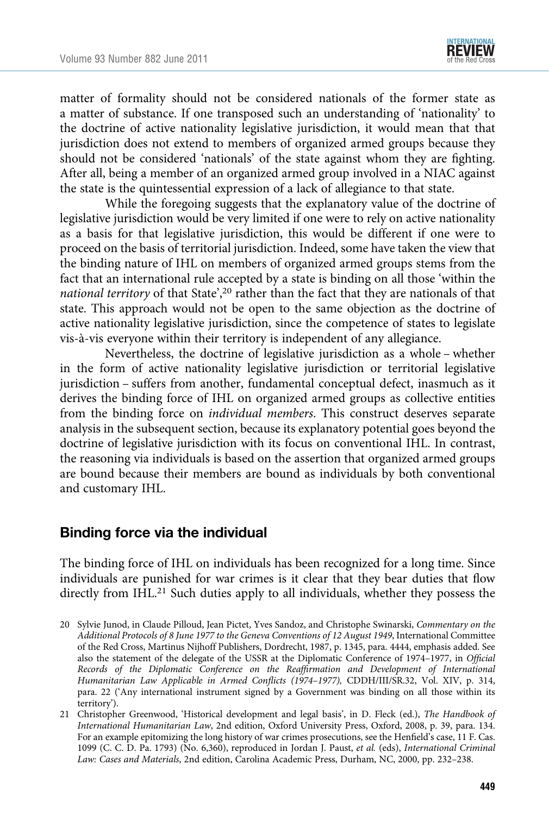matter of formality should not be considered nationals of the former state as a matter of substance. If one transposed such an understanding of 'nationality' to the doctrine of active nationality legislative jurisdiction, it would mean that that jurisdiction does not extend to members of organized armed groups because they should not be considered 'nationals' of the state against whom they are fighting. After all, being a member of an organized armed group involved in a NIAC against the state is the quintessential expression of a lack of allegiance to that state.

While the foregoing suggests that the explanatory value of the doctrine of legislative jurisdiction would be very limited if one were to rely on active nationality as a basis for that legislative jurisdiction, this would be different if one were to proceed on the basis of territorial jurisdiction. Indeed, some have taken the view that the binding nature of IHL on members of organized armed groups stems from the fact that an international rule accepted by a state is binding on all those 'within the national territory of that State',<sup>20</sup> rather than the fact that they are nationals of that state. This approach would not be open to the same objection as the doctrine of active nationality legislative jurisdiction, since the competence of states to legislate vis-à-vis everyone within their territory is independent of any allegiance.

Nevertheless, the doctrine of legislative jurisdiction as a whole – whether in the form of active nationality legislative jurisdiction or territorial legislative jurisdiction – suffers from another, fundamental conceptual defect, inasmuch as it derives the binding force of IHL on organized armed groups as collective entities from the binding force on individual members. This construct deserves separate analysis in the subsequent section, because its explanatory potential goes beyond the doctrine of legislative jurisdiction with its focus on conventional IHL. In contrast, the reasoning via individuals is based on the assertion that organized armed groups are bound because their members are bound as individuals by both conventional and customary IHL.

### Binding force via the individual

The binding force of IHL on individuals has been recognized for a long time. Since individuals are punished for war crimes is it clear that they bear duties that flow directly from IHL.21 Such duties apply to all individuals, whether they possess the

<sup>20</sup> Sylvie Junod, in Claude Pilloud, Jean Pictet, Yves Sandoz, and Christophe Swinarski, Commentary on the Additional Protocols of 8 June 1977 to the Geneva Conventions of 12 August 1949, International Committee of the Red Cross, Martinus Nijhoff Publishers, Dordrecht, 1987, p. 1345, para. 4444, emphasis added. See also the statement of the delegate of the USSR at the Diplomatic Conference of 1974–1977, in Official Records of the Diplomatic Conference on the Reaffirmation and Development of International Humanitarian Law Applicable in Armed Conflicts (1974–1977), CDDH/III/SR.32, Vol. XIV, p. 314, para. 22 ('Any international instrument signed by a Government was binding on all those within its territory').

<sup>21</sup> Christopher Greenwood, 'Historical development and legal basis', in D. Fleck (ed.), The Handbook of International Humanitarian Law, 2nd edition, Oxford University Press, Oxford, 2008, p. 39, para. 134. For an example epitomizing the long history of war crimes prosecutions, see the Henfield's case, 11 F. Cas. 1099 (C. C. D. Pa. 1793) (No. 6,360), reproduced in Jordan J. Paust, et al. (eds), International Criminal Law: Cases and Materials, 2nd edition, Carolina Academic Press, Durham, NC, 2000, pp. 232–238.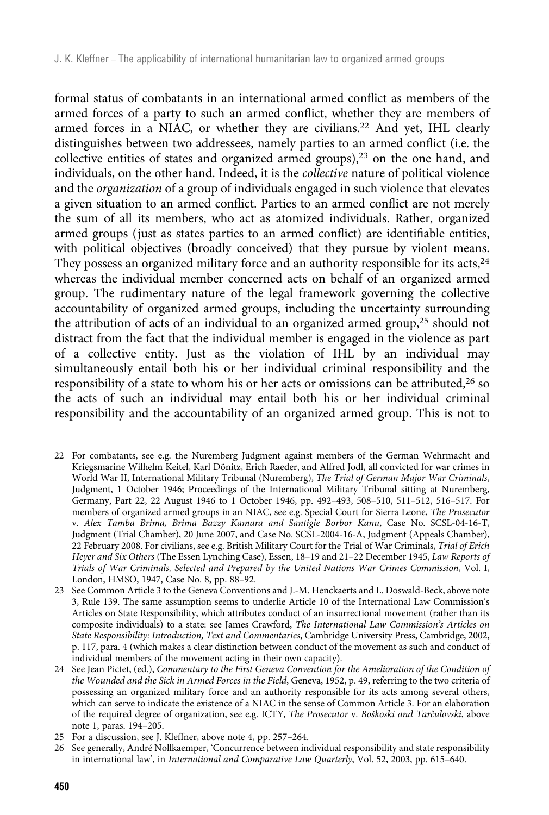formal status of combatants in an international armed conflict as members of the armed forces of a party to such an armed conflict, whether they are members of armed forces in a NIAC, or whether they are civilians.<sup>22</sup> And yet, IHL clearly distinguishes between two addressees, namely parties to an armed conflict (i.e. the collective entities of states and organized armed groups), $23$  on the one hand, and individuals, on the other hand. Indeed, it is the collective nature of political violence and the organization of a group of individuals engaged in such violence that elevates a given situation to an armed conflict. Parties to an armed conflict are not merely the sum of all its members, who act as atomized individuals. Rather, organized armed groups (just as states parties to an armed conflict) are identifiable entities, with political objectives (broadly conceived) that they pursue by violent means. They possess an organized military force and an authority responsible for its acts,<sup>24</sup> whereas the individual member concerned acts on behalf of an organized armed group. The rudimentary nature of the legal framework governing the collective accountability of organized armed groups, including the uncertainty surrounding the attribution of acts of an individual to an organized armed group,<sup>25</sup> should not distract from the fact that the individual member is engaged in the violence as part of a collective entity. Just as the violation of IHL by an individual may simultaneously entail both his or her individual criminal responsibility and the responsibility of a state to whom his or her acts or omissions can be attributed,<sup>26</sup> so the acts of such an individual may entail both his or her individual criminal responsibility and the accountability of an organized armed group. This is not to

- 22 For combatants, see e.g. the Nuremberg Judgment against members of the German Wehrmacht and Kriegsmarine Wilhelm Keitel, Karl Dönitz, Erich Raeder, and Alfred Jodl, all convicted for war crimes in World War II, International Military Tribunal (Nuremberg), The Trial of German Major War Criminals, Judgment, 1 October 1946; Proceedings of the International Military Tribunal sitting at Nuremberg, Germany, Part 22, 22 August 1946 to 1 October 1946, pp. 492–493, 508–510, 511–512, 516–517. For members of organized armed groups in an NIAC, see e.g. Special Court for Sierra Leone, The Prosecutor v. Alex Tamba Brima, Brima Bazzy Kamara and Santigie Borbor Kanu, Case No. SCSL-04-16-T, Judgment (Trial Chamber), 20 June 2007, and Case No. SCSL-2004-16-A, Judgment (Appeals Chamber), 22 February 2008. For civilians, see e.g. British Military Court for the Trial of War Criminals, Trial of Erich Heyer and Six Others (The Essen Lynching Case), Essen, 18–19 and 21–22 December 1945, Law Reports of Trials of War Criminals, Selected and Prepared by the United Nations War Crimes Commission, Vol. I, London, HMSO, 1947, Case No. 8, pp. 88–92.
- 23 See Common Article 3 to the Geneva Conventions and J.-M. Henckaerts and L. Doswald-Beck, above note 3, Rule 139. The same assumption seems to underlie Article 10 of the International Law Commission's Articles on State Responsibility, which attributes conduct of an insurrectional movement (rather than its composite individuals) to a state: see James Crawford, The International Law Commission's Articles on State Responsibility: Introduction, Text and Commentaries, Cambridge University Press, Cambridge, 2002, p. 117, para. 4 (which makes a clear distinction between conduct of the movement as such and conduct of individual members of the movement acting in their own capacity).
- 24 See Jean Pictet, (ed.), Commentary to the First Geneva Convention for the Amelioration of the Condition of the Wounded and the Sick in Armed Forces in the Field, Geneva, 1952, p. 49, referring to the two criteria of possessing an organized military force and an authority responsible for its acts among several others, which can serve to indicate the existence of a NIAC in the sense of Common Article 3. For an elaboration of the required degree of organization, see e.g. ICTY, The Prosecutor v. Boškoski and Tarčulovski, above note 1, paras. 194–205.
- 25 For a discussion, see J. Kleffner, above note 4, pp. 257–264.
- 26 See generally, André Nollkaemper, 'Concurrence between individual responsibility and state responsibility in international law', in International and Comparative Law Quarterly, Vol. 52, 2003, pp. 615–640.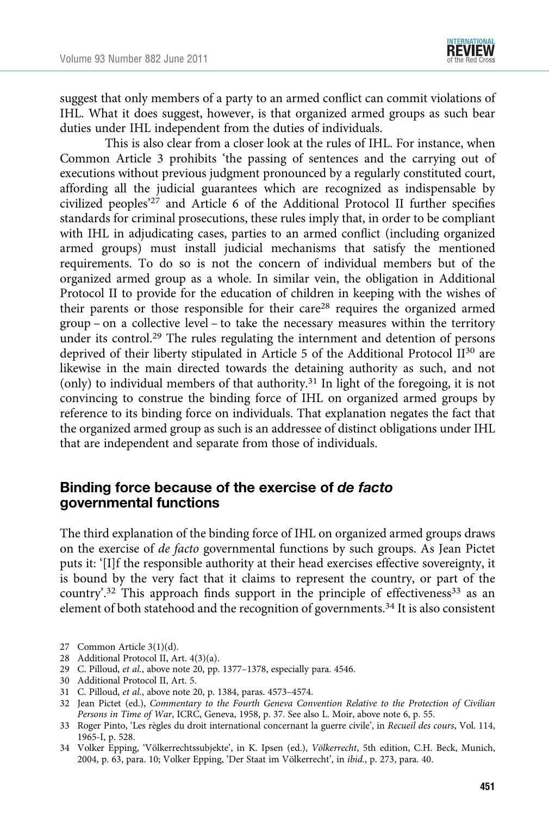

suggest that only members of a party to an armed conflict can commit violations of IHL. What it does suggest, however, is that organized armed groups as such bear duties under IHL independent from the duties of individuals.

This is also clear from a closer look at the rules of IHL. For instance, when Common Article 3 prohibits 'the passing of sentences and the carrying out of executions without previous judgment pronounced by a regularly constituted court, affording all the judicial guarantees which are recognized as indispensable by civilized peoples' <sup>27</sup> and Article 6 of the Additional Protocol II further specifies standards for criminal prosecutions, these rules imply that, in order to be compliant with IHL in adjudicating cases, parties to an armed conflict (including organized armed groups) must install judicial mechanisms that satisfy the mentioned requirements. To do so is not the concern of individual members but of the organized armed group as a whole. In similar vein, the obligation in Additional Protocol II to provide for the education of children in keeping with the wishes of their parents or those responsible for their care28 requires the organized armed group – on a collective level – to take the necessary measures within the territory under its control.29 The rules regulating the internment and detention of persons deprived of their liberty stipulated in Article 5 of the Additional Protocol II30 are likewise in the main directed towards the detaining authority as such, and not (only) to individual members of that authority.<sup>31</sup> In light of the foregoing, it is not convincing to construe the binding force of IHL on organized armed groups by reference to its binding force on individuals. That explanation negates the fact that the organized armed group as such is an addressee of distinct obligations under IHL that are independent and separate from those of individuals.

#### Binding force because of the exercise of de facto governmental functions

The third explanation of the binding force of IHL on organized armed groups draws on the exercise of de facto governmental functions by such groups. As Jean Pictet puts it: '[I]f the responsible authority at their head exercises effective sovereignty, it is bound by the very fact that it claims to represent the country, or part of the country'.<sup>32</sup> This approach finds support in the principle of effectiveness<sup>33</sup> as an element of both statehood and the recognition of governments.34 It is also consistent

28 Additional Protocol II, Art. 4(3)(a).

- 33 Roger Pinto, 'Les règles du droit international concernant la guerre civile', in Recueil des cours, Vol. 114, 1965-I, p. 528.
- 34 Volker Epping, 'Völkerrechtssubjekte', in K. Ipsen (ed.), Völkerrecht, 5th edition, C.H. Beck, Munich, 2004, p. 63, para. 10; Volker Epping, 'Der Staat im Völkerrecht', in ibid., p. 273, para. 40.

<sup>27</sup> Common Article 3(1)(d).

<sup>29</sup> C. Pilloud, et al., above note 20, pp. 1377–1378, especially para. 4546.

<sup>30</sup> Additional Protocol II, Art. 5.

<sup>31</sup> C. Pilloud, et al., above note 20, p. 1384, paras. 4573–4574.

<sup>32</sup> Jean Pictet (ed.), Commentary to the Fourth Geneva Convention Relative to the Protection of Civilian Persons in Time of War, ICRC, Geneva, 1958, p. 37. See also L. Moir, above note 6, p. 55.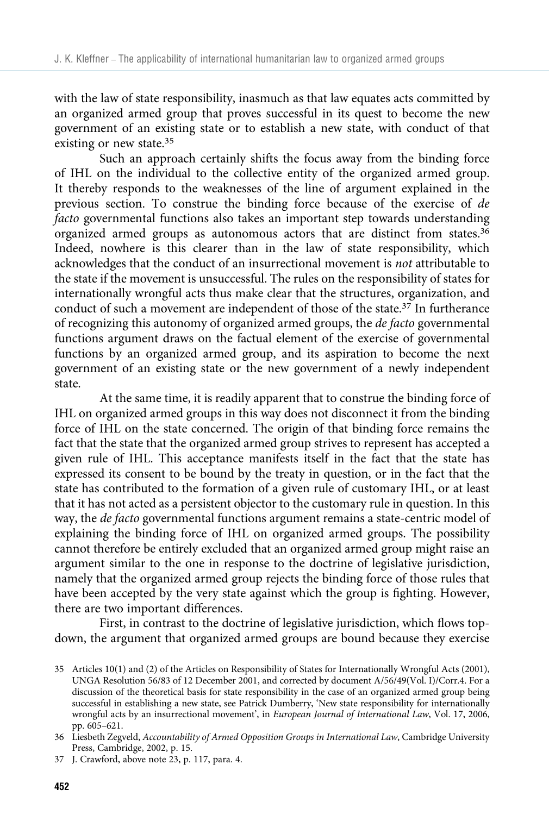with the law of state responsibility, inasmuch as that law equates acts committed by an organized armed group that proves successful in its quest to become the new government of an existing state or to establish a new state, with conduct of that existing or new state.<sup>35</sup>

Such an approach certainly shifts the focus away from the binding force of IHL on the individual to the collective entity of the organized armed group. It thereby responds to the weaknesses of the line of argument explained in the previous section. To construe the binding force because of the exercise of de facto governmental functions also takes an important step towards understanding organized armed groups as autonomous actors that are distinct from states.<sup>36</sup> Indeed, nowhere is this clearer than in the law of state responsibility, which acknowledges that the conduct of an insurrectional movement is not attributable to the state if the movement is unsuccessful. The rules on the responsibility of states for internationally wrongful acts thus make clear that the structures, organization, and conduct of such a movement are independent of those of the state. $37$  In furtherance of recognizing this autonomy of organized armed groups, the de facto governmental functions argument draws on the factual element of the exercise of governmental functions by an organized armed group, and its aspiration to become the next government of an existing state or the new government of a newly independent state.

At the same time, it is readily apparent that to construe the binding force of IHL on organized armed groups in this way does not disconnect it from the binding force of IHL on the state concerned. The origin of that binding force remains the fact that the state that the organized armed group strives to represent has accepted a given rule of IHL. This acceptance manifests itself in the fact that the state has expressed its consent to be bound by the treaty in question, or in the fact that the state has contributed to the formation of a given rule of customary IHL, or at least that it has not acted as a persistent objector to the customary rule in question. In this way, the de facto governmental functions argument remains a state-centric model of explaining the binding force of IHL on organized armed groups. The possibility cannot therefore be entirely excluded that an organized armed group might raise an argument similar to the one in response to the doctrine of legislative jurisdiction, namely that the organized armed group rejects the binding force of those rules that have been accepted by the very state against which the group is fighting. However, there are two important differences.

First, in contrast to the doctrine of legislative jurisdiction, which flows topdown, the argument that organized armed groups are bound because they exercise

<sup>35</sup> Articles 10(1) and (2) of the Articles on Responsibility of States for Internationally Wrongful Acts (2001), UNGA Resolution 56/83 of 12 December 2001, and corrected by document A/56/49(Vol. I)/Corr.4. For a discussion of the theoretical basis for state responsibility in the case of an organized armed group being successful in establishing a new state, see Patrick Dumberry, 'New state responsibility for internationally wrongful acts by an insurrectional movement', in European Journal of International Law, Vol. 17, 2006, pp. 605–621.

<sup>36</sup> Liesbeth Zegveld, Accountability of Armed Opposition Groups in International Law, Cambridge University Press, Cambridge, 2002, p. 15.

<sup>37</sup> J. Crawford, above note 23, p. 117, para. 4.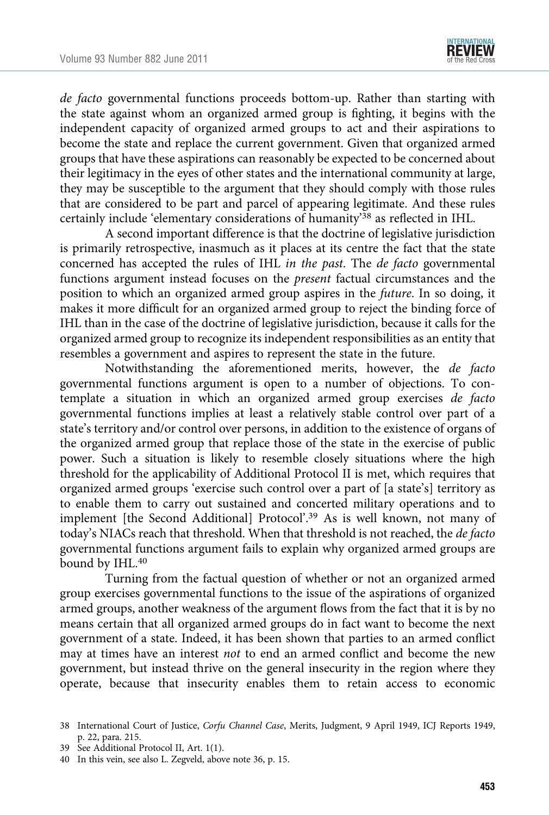de facto governmental functions proceeds bottom-up. Rather than starting with the state against whom an organized armed group is fighting, it begins with the independent capacity of organized armed groups to act and their aspirations to become the state and replace the current government. Given that organized armed groups that have these aspirations can reasonably be expected to be concerned about their legitimacy in the eyes of other states and the international community at large, they may be susceptible to the argument that they should comply with those rules that are considered to be part and parcel of appearing legitimate. And these rules certainly include 'elementary considerations of humanity'<sup>38</sup> as reflected in IHL.

A second important difference is that the doctrine of legislative jurisdiction is primarily retrospective, inasmuch as it places at its centre the fact that the state concerned has accepted the rules of IHL in the past. The de facto governmental functions argument instead focuses on the present factual circumstances and the position to which an organized armed group aspires in the future. In so doing, it makes it more difficult for an organized armed group to reject the binding force of IHL than in the case of the doctrine of legislative jurisdiction, because it calls for the organized armed group to recognize its independent responsibilities as an entity that resembles a government and aspires to represent the state in the future.

Notwithstanding the aforementioned merits, however, the de facto governmental functions argument is open to a number of objections. To contemplate a situation in which an organized armed group exercises de facto governmental functions implies at least a relatively stable control over part of a state's territory and/or control over persons, in addition to the existence of organs of the organized armed group that replace those of the state in the exercise of public power. Such a situation is likely to resemble closely situations where the high threshold for the applicability of Additional Protocol II is met, which requires that organized armed groups 'exercise such control over a part of [a state's] territory as to enable them to carry out sustained and concerted military operations and to implement [the Second Additional] Protocol'.<sup>39</sup> As is well known, not many of today's NIACs reach that threshold. When that threshold is not reached, the de facto governmental functions argument fails to explain why organized armed groups are bound by IHL.<sup>40</sup>

Turning from the factual question of whether or not an organized armed group exercises governmental functions to the issue of the aspirations of organized armed groups, another weakness of the argument flows from the fact that it is by no means certain that all organized armed groups do in fact want to become the next government of a state. Indeed, it has been shown that parties to an armed conflict may at times have an interest not to end an armed conflict and become the new government, but instead thrive on the general insecurity in the region where they operate, because that insecurity enables them to retain access to economic

<sup>38</sup> International Court of Justice, Corfu Channel Case, Merits, Judgment, 9 April 1949, ICJ Reports 1949, p. 22, para. 215.

<sup>39</sup> See Additional Protocol II, Art. 1(1).

<sup>40</sup> In this vein, see also L. Zegveld, above note 36, p. 15.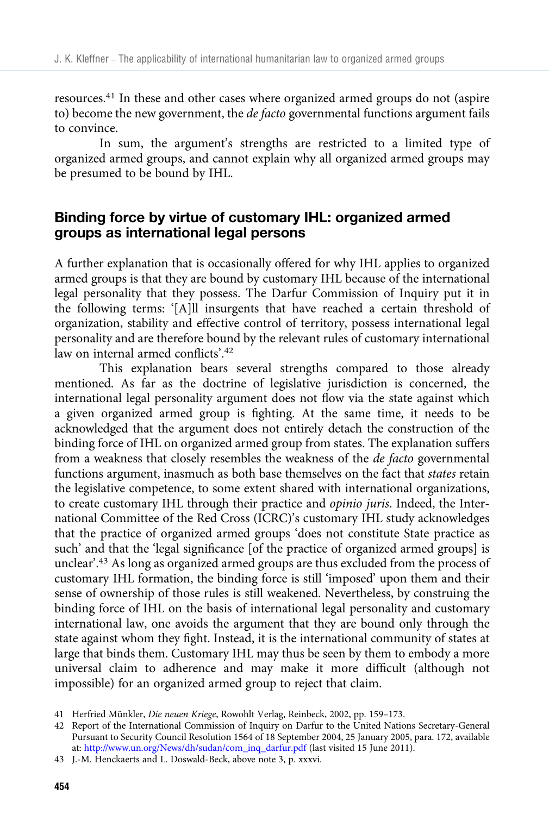resources.41 In these and other cases where organized armed groups do not (aspire to) become the new government, the de facto governmental functions argument fails to convince.

In sum, the argument's strengths are restricted to a limited type of organized armed groups, and cannot explain why all organized armed groups may be presumed to be bound by IHL.

#### Binding force by virtue of customary IHL: organized armed groups as international legal persons

A further explanation that is occasionally offered for why IHL applies to organized armed groups is that they are bound by customary IHL because of the international legal personality that they possess. The Darfur Commission of Inquiry put it in the following terms: '[A]ll insurgents that have reached a certain threshold of organization, stability and effective control of territory, possess international legal personality and are therefore bound by the relevant rules of customary international law on internal armed conflicts'.<sup>42</sup>

This explanation bears several strengths compared to those already mentioned. As far as the doctrine of legislative jurisdiction is concerned, the international legal personality argument does not flow via the state against which a given organized armed group is fighting. At the same time, it needs to be acknowledged that the argument does not entirely detach the construction of the binding force of IHL on organized armed group from states. The explanation suffers from a weakness that closely resembles the weakness of the de facto governmental functions argument, inasmuch as both base themselves on the fact that states retain the legislative competence, to some extent shared with international organizations, to create customary IHL through their practice and *opinio juris*. Indeed, the International Committee of the Red Cross (ICRC)'s customary IHL study acknowledges that the practice of organized armed groups 'does not constitute State practice as such' and that the 'legal significance [of the practice of organized armed groups] is unclear'. <sup>43</sup> As long as organized armed groups are thus excluded from the process of customary IHL formation, the binding force is still 'imposed' upon them and their sense of ownership of those rules is still weakened. Nevertheless, by construing the binding force of IHL on the basis of international legal personality and customary international law, one avoids the argument that they are bound only through the state against whom they fight. Instead, it is the international community of states at large that binds them. Customary IHL may thus be seen by them to embody a more universal claim to adherence and may make it more difficult (although not impossible) for an organized armed group to reject that claim.

<sup>41</sup> Herfried Münkler, Die neuen Kriege, Rowohlt Verlag, Reinbeck, 2002, pp. 159–173.

<sup>42</sup> Report of the International Commission of Inquiry on Darfur to the United Nations Secretary-General Pursuant to Security Council Resolution 1564 of 18 September 2004, 25 January 2005, para. 172, available at: [http://www.un.org/News/dh/sudan/com\\_inq\\_darfur.pdf](http://www.un.org/News/dh/sudan/com_inq_darfur.pdf) (last visited 15 June 2011).

<sup>43</sup> J.-M. Henckaerts and L. Doswald-Beck, above note 3, p. xxxvi.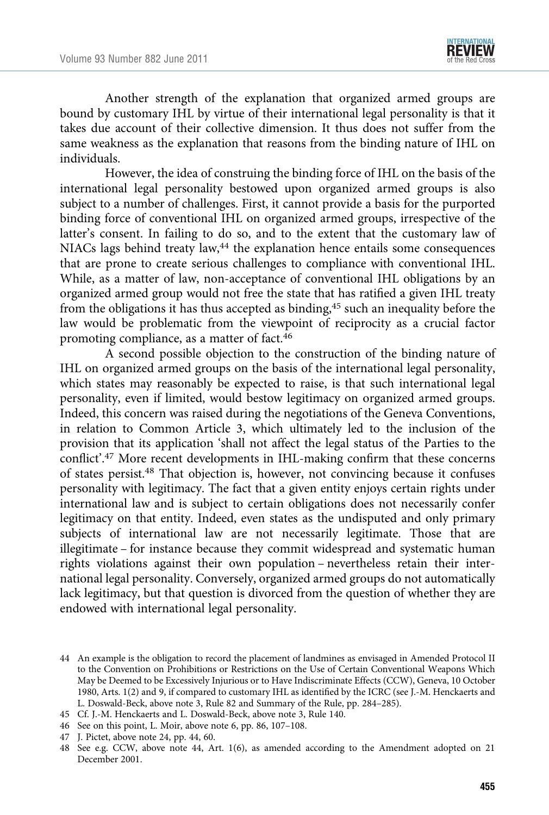Another strength of the explanation that organized armed groups are bound by customary IHL by virtue of their international legal personality is that it takes due account of their collective dimension. It thus does not suffer from the same weakness as the explanation that reasons from the binding nature of IHL on individuals.

However, the idea of construing the binding force of IHL on the basis of the international legal personality bestowed upon organized armed groups is also subject to a number of challenges. First, it cannot provide a basis for the purported binding force of conventional IHL on organized armed groups, irrespective of the latter's consent. In failing to do so, and to the extent that the customary law of NIACs lags behind treaty law,<sup>44</sup> the explanation hence entails some consequences that are prone to create serious challenges to compliance with conventional IHL. While, as a matter of law, non-acceptance of conventional IHL obligations by an organized armed group would not free the state that has ratified a given IHL treaty from the obligations it has thus accepted as binding,<sup>45</sup> such an inequality before the law would be problematic from the viewpoint of reciprocity as a crucial factor promoting compliance, as a matter of fact.<sup>46</sup>

A second possible objection to the construction of the binding nature of IHL on organized armed groups on the basis of the international legal personality, which states may reasonably be expected to raise, is that such international legal personality, even if limited, would bestow legitimacy on organized armed groups. Indeed, this concern was raised during the negotiations of the Geneva Conventions, in relation to Common Article 3, which ultimately led to the inclusion of the provision that its application 'shall not affect the legal status of the Parties to the conflict'.<sup>47</sup> More recent developments in IHL-making confirm that these concerns of states persist.48 That objection is, however, not convincing because it confuses personality with legitimacy. The fact that a given entity enjoys certain rights under international law and is subject to certain obligations does not necessarily confer legitimacy on that entity. Indeed, even states as the undisputed and only primary subjects of international law are not necessarily legitimate. Those that are illegitimate – for instance because they commit widespread and systematic human rights violations against their own population – nevertheless retain their international legal personality. Conversely, organized armed groups do not automatically lack legitimacy, but that question is divorced from the question of whether they are endowed with international legal personality.

47 J. Pictet, above note 24, pp. 44, 60.

<sup>44</sup> An example is the obligation to record the placement of landmines as envisaged in Amended Protocol II to the Convention on Prohibitions or Restrictions on the Use of Certain Conventional Weapons Which May be Deemed to be Excessively Injurious or to Have Indiscriminate Effects (CCW), Geneva, 10 October 1980, Arts. 1(2) and 9, if compared to customary IHL as identified by the ICRC (see J.-M. Henckaerts and L. Doswald-Beck, above note 3, Rule 82 and Summary of the Rule, pp. 284–285).

<sup>45</sup> Cf. J.-M. Henckaerts and L. Doswald-Beck, above note 3, Rule 140.

<sup>46</sup> See on this point, L. Moir, above note 6, pp. 86, 107–108.

<sup>48</sup> See e.g. CCW, above note 44, Art. 1(6), as amended according to the Amendment adopted on 21 December 2001.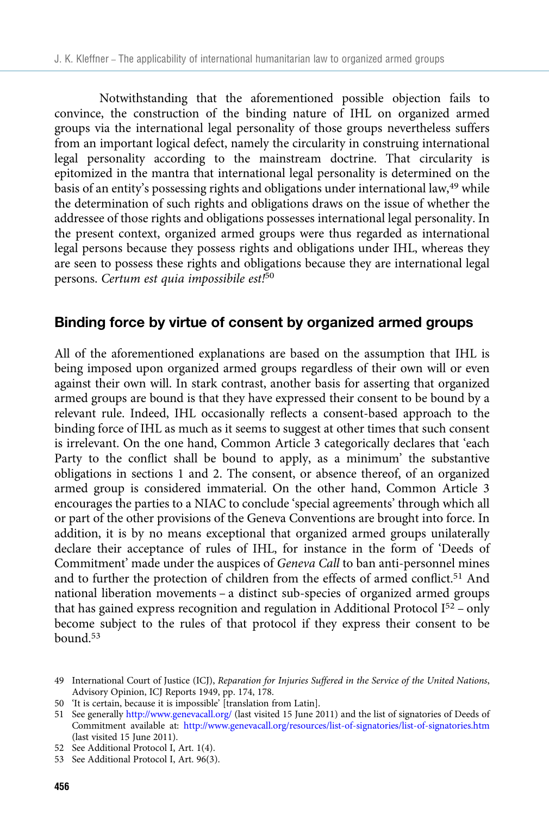Notwithstanding that the aforementioned possible objection fails to convince, the construction of the binding nature of IHL on organized armed groups via the international legal personality of those groups nevertheless suffers from an important logical defect, namely the circularity in construing international legal personality according to the mainstream doctrine. That circularity is epitomized in the mantra that international legal personality is determined on the basis of an entity's possessing rights and obligations under international law,<sup>49</sup> while the determination of such rights and obligations draws on the issue of whether the addressee of those rights and obligations possesses international legal personality. In the present context, organized armed groups were thus regarded as international legal persons because they possess rights and obligations under IHL, whereas they are seen to possess these rights and obligations because they are international legal persons. Certum est quia impossibile est!<sup>50</sup>

### Binding force by virtue of consent by organized armed groups

All of the aforementioned explanations are based on the assumption that IHL is being imposed upon organized armed groups regardless of their own will or even against their own will. In stark contrast, another basis for asserting that organized armed groups are bound is that they have expressed their consent to be bound by a relevant rule. Indeed, IHL occasionally reflects a consent-based approach to the binding force of IHL as much as it seems to suggest at other times that such consent is irrelevant. On the one hand, Common Article 3 categorically declares that 'each Party to the conflict shall be bound to apply, as a minimum' the substantive obligations in sections 1 and 2. The consent, or absence thereof, of an organized armed group is considered immaterial. On the other hand, Common Article 3 encourages the parties to a NIAC to conclude 'special agreements' through which all or part of the other provisions of the Geneva Conventions are brought into force. In addition, it is by no means exceptional that organized armed groups unilaterally declare their acceptance of rules of IHL, for instance in the form of 'Deeds of Commitment' made under the auspices of Geneva Call to ban anti-personnel mines and to further the protection of children from the effects of armed conflict.<sup>51</sup> And national liberation movements – a distinct sub-species of organized armed groups that has gained express recognition and regulation in Additional Protocol  $I^{52}$  – only become subject to the rules of that protocol if they express their consent to be bound.53

<sup>49</sup> International Court of Justice (ICJ), Reparation for Injuries Suffered in the Service of the United Nations, Advisory Opinion, ICJ Reports 1949, pp. 174, 178.

<sup>50</sup> 'It is certain, because it is impossible' [translation from Latin].

<sup>51</sup> See generally <http://www.genevacall.org/> (last visited 15 June 2011) and the list of signatories of Deeds of Commitment available at: <http://www.genevacall.org/resources/list-of-signatories/list-of-signatories.htm> (last visited 15 June 2011).

<sup>52</sup> See Additional Protocol I, Art. 1(4).

<sup>53</sup> See Additional Protocol I, Art. 96(3).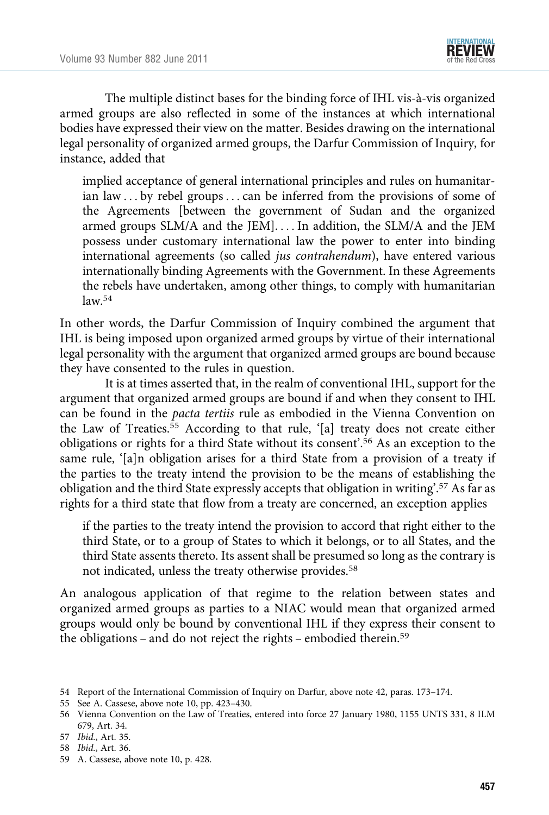The multiple distinct bases for the binding force of IHL vis-à-vis organized armed groups are also reflected in some of the instances at which international bodies have expressed their view on the matter. Besides drawing on the international legal personality of organized armed groups, the Darfur Commission of Inquiry, for instance, added that

implied acceptance of general international principles and rules on humanitarian law ... by rebel groups ... can be inferred from the provisions of some of the Agreements [between the government of Sudan and the organized armed groups SLM/A and the JEM]. ... In addition, the SLM/A and the JEM possess under customary international law the power to enter into binding international agreements (so called *jus contrahendum*), have entered various internationally binding Agreements with the Government. In these Agreements the rebels have undertaken, among other things, to comply with humanitarian  $law<sup>54</sup>$ 

In other words, the Darfur Commission of Inquiry combined the argument that IHL is being imposed upon organized armed groups by virtue of their international legal personality with the argument that organized armed groups are bound because they have consented to the rules in question.

It is at times asserted that, in the realm of conventional IHL, support for the argument that organized armed groups are bound if and when they consent to IHL can be found in the pacta tertiis rule as embodied in the Vienna Convention on the Law of Treaties.<sup>55</sup> According to that rule, '[a] treaty does not create either obligations or rights for a third State without its consent'. <sup>56</sup> As an exception to the same rule, '[a]n obligation arises for a third State from a provision of a treaty if the parties to the treaty intend the provision to be the means of establishing the obligation and the third State expressly accepts that obligation in writing'. <sup>57</sup> As far as rights for a third state that flow from a treaty are concerned, an exception applies

if the parties to the treaty intend the provision to accord that right either to the third State, or to a group of States to which it belongs, or to all States, and the third State assents thereto. Its assent shall be presumed so long as the contrary is not indicated, unless the treaty otherwise provides.<sup>58</sup>

An analogous application of that regime to the relation between states and organized armed groups as parties to a NIAC would mean that organized armed groups would only be bound by conventional IHL if they express their consent to the obligations – and do not reject the rights – embodied therein.<sup>59</sup>

<sup>54</sup> Report of the International Commission of Inquiry on Darfur, above note 42, paras. 173–174.

<sup>55</sup> See A. Cassese, above note 10, pp. 423–430.

<sup>56</sup> Vienna Convention on the Law of Treaties, entered into force 27 January 1980, 1155 UNTS 331, 8 ILM 679, Art. 34.

<sup>57</sup> Ibid., Art. 35.

<sup>58</sup> Ibid., Art. 36.

<sup>59</sup> A. Cassese, above note 10, p. 428.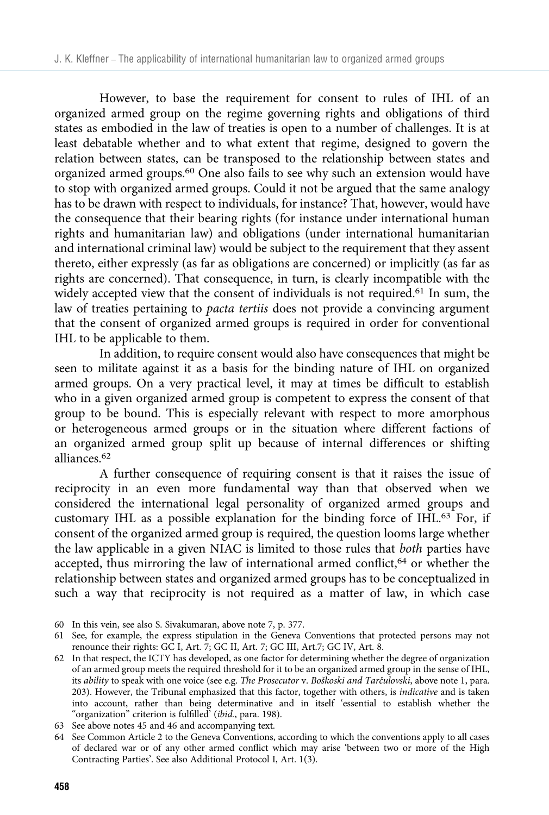However, to base the requirement for consent to rules of IHL of an organized armed group on the regime governing rights and obligations of third states as embodied in the law of treaties is open to a number of challenges. It is at least debatable whether and to what extent that regime, designed to govern the relation between states, can be transposed to the relationship between states and organized armed groups.60 One also fails to see why such an extension would have to stop with organized armed groups. Could it not be argued that the same analogy has to be drawn with respect to individuals, for instance? That, however, would have the consequence that their bearing rights (for instance under international human rights and humanitarian law) and obligations (under international humanitarian and international criminal law) would be subject to the requirement that they assent thereto, either expressly (as far as obligations are concerned) or implicitly (as far as rights are concerned). That consequence, in turn, is clearly incompatible with the widely accepted view that the consent of individuals is not required.<sup>61</sup> In sum, the law of treaties pertaining to pacta tertiis does not provide a convincing argument that the consent of organized armed groups is required in order for conventional IHL to be applicable to them.

In addition, to require consent would also have consequences that might be seen to militate against it as a basis for the binding nature of IHL on organized armed groups. On a very practical level, it may at times be difficult to establish who in a given organized armed group is competent to express the consent of that group to be bound. This is especially relevant with respect to more amorphous or heterogeneous armed groups or in the situation where different factions of an organized armed group split up because of internal differences or shifting alliances.<sup>62</sup>

A further consequence of requiring consent is that it raises the issue of reciprocity in an even more fundamental way than that observed when we considered the international legal personality of organized armed groups and customary IHL as a possible explanation for the binding force of IHL.63 For, if consent of the organized armed group is required, the question looms large whether the law applicable in a given NIAC is limited to those rules that both parties have accepted, thus mirroring the law of international armed conflict,<sup>64</sup> or whether the relationship between states and organized armed groups has to be conceptualized in such a way that reciprocity is not required as a matter of law, in which case

63 See above notes 45 and 46 and accompanying text.

<sup>60</sup> In this vein, see also S. Sivakumaran, above note 7, p. 377.

<sup>61</sup> See, for example, the express stipulation in the Geneva Conventions that protected persons may not renounce their rights: GC I, Art. 7; GC II, Art. 7; GC III, Art.7; GC IV, Art. 8.

<sup>62</sup> In that respect, the ICTY has developed, as one factor for determining whether the degree of organization of an armed group meets the required threshold for it to be an organized armed group in the sense of IHL, its ability to speak with one voice (see e.g. The Prosecutor v. Boškoski and Tarčulovski, above note 1, para. 203). However, the Tribunal emphasized that this factor, together with others, is indicative and is taken into account, rather than being determinative and in itself 'essential to establish whether the "organization" criterion is fulfilled' (ibid., para. 198).

<sup>64</sup> See Common Article 2 to the Geneva Conventions, according to which the conventions apply to all cases of declared war or of any other armed conflict which may arise 'between two or more of the High Contracting Parties'. See also Additional Protocol I, Art. 1(3).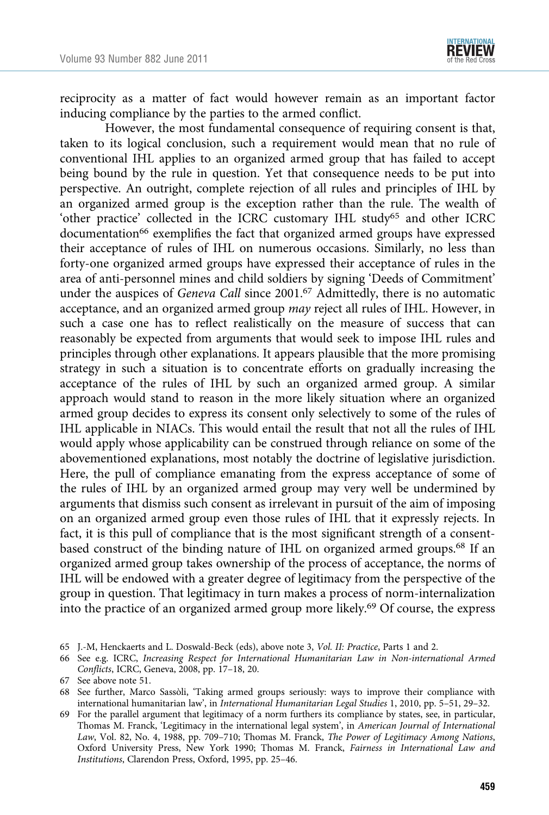

reciprocity as a matter of fact would however remain as an important factor inducing compliance by the parties to the armed conflict.

However, the most fundamental consequence of requiring consent is that, taken to its logical conclusion, such a requirement would mean that no rule of conventional IHL applies to an organized armed group that has failed to accept being bound by the rule in question. Yet that consequence needs to be put into perspective. An outright, complete rejection of all rules and principles of IHL by an organized armed group is the exception rather than the rule. The wealth of 'other practice' collected in the ICRC customary IHL study<sup>65</sup> and other ICRC documentation<sup>66</sup> exemplifies the fact that organized armed groups have expressed their acceptance of rules of IHL on numerous occasions. Similarly, no less than forty-one organized armed groups have expressed their acceptance of rules in the area of anti-personnel mines and child soldiers by signing 'Deeds of Commitment' under the auspices of Geneva Call since 2001.<sup>67</sup> Admittedly, there is no automatic acceptance, and an organized armed group may reject all rules of IHL. However, in such a case one has to reflect realistically on the measure of success that can reasonably be expected from arguments that would seek to impose IHL rules and principles through other explanations. It appears plausible that the more promising strategy in such a situation is to concentrate efforts on gradually increasing the acceptance of the rules of IHL by such an organized armed group. A similar approach would stand to reason in the more likely situation where an organized armed group decides to express its consent only selectively to some of the rules of IHL applicable in NIACs. This would entail the result that not all the rules of IHL would apply whose applicability can be construed through reliance on some of the abovementioned explanations, most notably the doctrine of legislative jurisdiction. Here, the pull of compliance emanating from the express acceptance of some of the rules of IHL by an organized armed group may very well be undermined by arguments that dismiss such consent as irrelevant in pursuit of the aim of imposing on an organized armed group even those rules of IHL that it expressly rejects. In fact, it is this pull of compliance that is the most significant strength of a consentbased construct of the binding nature of IHL on organized armed groups.68 If an organized armed group takes ownership of the process of acceptance, the norms of IHL will be endowed with a greater degree of legitimacy from the perspective of the group in question. That legitimacy in turn makes a process of norm-internalization into the practice of an organized armed group more likely.69 Of course, the express

<sup>65</sup> J.-M, Henckaerts and L. Doswald-Beck (eds), above note 3, Vol. II: Practice, Parts 1 and 2.

<sup>66</sup> See e.g. ICRC, Increasing Respect for International Humanitarian Law in Non-international Armed Conflicts, ICRC, Geneva, 2008, pp. 17–18, 20.

<sup>67</sup> See above note 51.

<sup>68</sup> See further, Marco Sassòli, 'Taking armed groups seriously: ways to improve their compliance with international humanitarian law', in International Humanitarian Legal Studies 1, 2010, pp. 5–51, 29–32.

<sup>69</sup> For the parallel argument that legitimacy of a norm furthers its compliance by states, see, in particular, Thomas M. Franck, 'Legitimacy in the international legal system', in American Journal of International Law, Vol. 82, No. 4, 1988, pp. 709–710; Thomas M. Franck, The Power of Legitimacy Among Nations, Oxford University Press, New York 1990; Thomas M. Franck, Fairness in International Law and Institutions, Clarendon Press, Oxford, 1995, pp. 25–46.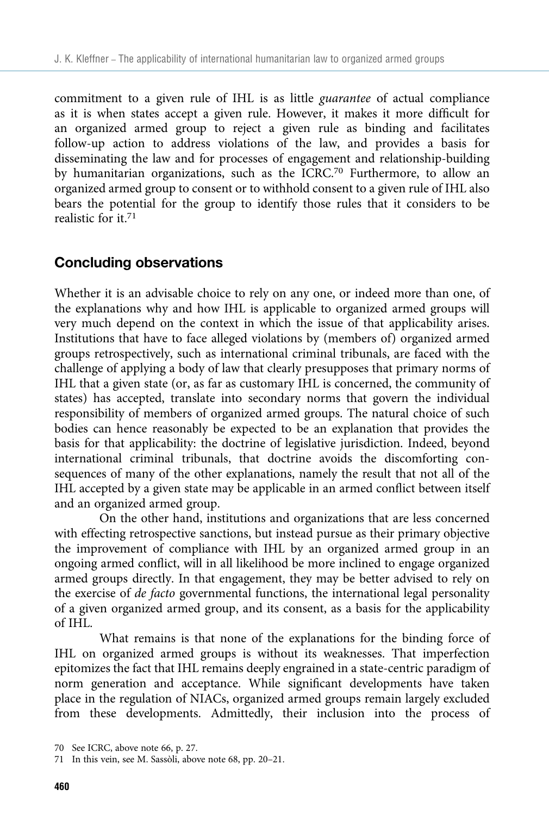commitment to a given rule of IHL is as little guarantee of actual compliance as it is when states accept a given rule. However, it makes it more difficult for an organized armed group to reject a given rule as binding and facilitates follow-up action to address violations of the law, and provides a basis for disseminating the law and for processes of engagement and relationship-building by humanitarian organizations, such as the ICRC.<sup>70</sup> Furthermore, to allow an organized armed group to consent or to withhold consent to a given rule of IHL also bears the potential for the group to identify those rules that it considers to be realistic for it.71

## Concluding observations

Whether it is an advisable choice to rely on any one, or indeed more than one, of the explanations why and how IHL is applicable to organized armed groups will very much depend on the context in which the issue of that applicability arises. Institutions that have to face alleged violations by (members of) organized armed groups retrospectively, such as international criminal tribunals, are faced with the challenge of applying a body of law that clearly presupposes that primary norms of IHL that a given state (or, as far as customary IHL is concerned, the community of states) has accepted, translate into secondary norms that govern the individual responsibility of members of organized armed groups. The natural choice of such bodies can hence reasonably be expected to be an explanation that provides the basis for that applicability: the doctrine of legislative jurisdiction. Indeed, beyond international criminal tribunals, that doctrine avoids the discomforting consequences of many of the other explanations, namely the result that not all of the IHL accepted by a given state may be applicable in an armed conflict between itself and an organized armed group.

On the other hand, institutions and organizations that are less concerned with effecting retrospective sanctions, but instead pursue as their primary objective the improvement of compliance with IHL by an organized armed group in an ongoing armed conflict, will in all likelihood be more inclined to engage organized armed groups directly. In that engagement, they may be better advised to rely on the exercise of de facto governmental functions, the international legal personality of a given organized armed group, and its consent, as a basis for the applicability of IHL.

What remains is that none of the explanations for the binding force of IHL on organized armed groups is without its weaknesses. That imperfection epitomizes the fact that IHL remains deeply engrained in a state-centric paradigm of norm generation and acceptance. While significant developments have taken place in the regulation of NIACs, organized armed groups remain largely excluded from these developments. Admittedly, their inclusion into the process of

<sup>70</sup> See ICRC, above note 66, p. 27.

<sup>71</sup> In this vein, see M. Sassòli, above note 68, pp. 20–21.